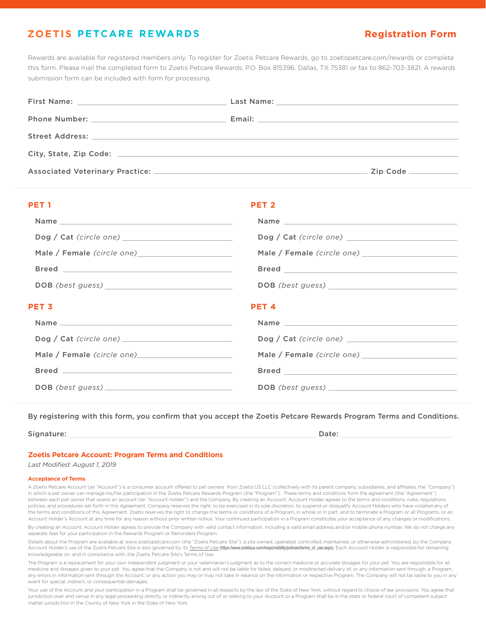## **ZOETIS PETCARE REWARDS**

# **Registration Form**

Rewards are available for registered members only. To register for Zoetis Petcare Rewards, go to zoetispetcare.com/rewards or complete this form. Please mail the completed form to Zoetis Petcare Rewards, P.O. Box 815396, Dallas, TX 75381 or fax to 862-703-3821. A rewards submission form can be included with form for processing.

| PET <sub>1</sub> | PET <sub>2</sub> |
|------------------|------------------|
|                  |                  |
|                  |                  |
|                  |                  |
|                  |                  |
|                  |                  |
|                  |                  |
| PET <sub>3</sub> | PET <sub>4</sub> |
|                  |                  |
|                  |                  |
|                  |                  |
|                  |                  |

By registering with this form, you confirm that you accept the Zoetis Petcare Rewards Program Terms and Conditions.

Signature: \_\_\_\_\_\_\_\_\_\_\_\_\_\_\_\_\_\_\_\_\_\_\_\_\_\_\_\_\_\_\_\_\_\_\_\_\_\_\_\_\_\_\_\_\_\_\_\_\_\_\_\_\_\_\_ Date: \_\_\_\_\_\_\_\_\_\_\_\_\_\_\_\_\_\_\_\_\_\_\_\_\_

## **Zoetis Petcare Account: Program Terms and Conditions**

*Last Modified: August 1, 2019*

## **Acceptance of Terms**

A Zoetis Petcare Account (an "Account") is a consumer account offered to pet owners from Zoetis US LLC (collectively with its parent company, subsidiaries, and affiliates, the "Company") in which a pet owner can manage his/her participation in the Zoetis Petcare Rewards Program (the "Program"). These terms and conditions form the agreement (the "Agreement") between each pet owner that opens an account (an "Account Holder") and the Company. By creating an Account, Account Holder agrees to the terms and conditions, rules, regulations, policies, and procedures set forth in this Agreement. Company reserves the right, to be exercised in its sole discretion, to suspend or disqualify Account Holders who have violated any of the terms and conditions of this Agreement. Zoetis reserves the right to change the terms or conditions of a Program, in whole or in part, and to terminate a Program or all Programs, or an ount Holder's Account at any time for any reason without prior written notice. Your continued participation in a Program constitutes your acceptance of any changes or modifications. By creating an Account, Account Holder agrees to provide the Company with valid contact information, including a valid email address and/or mobile phone number. We do not charge any

separate fees for your participation in the Rewards Program or Reminders Program.

Details about the Program are available at www.zoetispetcare.com (the "Zoetis Petcare Site"), a site owned, operated, controlled, maintained, or otherwise administered, by the Company. Account Holder's use of the Zoetis Petcare Site is also governed by its Terms of Use [\(https://www.zoetisus.com/responsibility/policies/terms\\_of\\_use.aspx\)](https://www.zoetisus.com/responsibility/policies/terms_of_use.aspx). Each Account Holder is responsible for remaining knowledgeable on, and in compliance with, the Zoetis Petcare Site's Terms of Use.

The Program is a replacement for your own independent judgment or your veterinarian's judgment as to the correct medicine or accurate dosages for your pet. You are responsible for all medicine and dosages given to your pet. You agree that the Company is not and will not be liable for failed, delayed, or misdirected delivery of, or any information sent through, a Program; any errors in information sent through the Account; or any action you may or may not take in reliance on the information or respective Program. The Company will not be liable to you in any event for special, indirect, or consequential damages.

Your use of the Account and your participation in a Program shall be governed in all respects by the law of the State of New York, without regard to choice of law provisions. You agree that jurisdiction over and venue in any legal proceeding directly or indirectly arising out of or relating to your Account or a Program shall be in the state or federal court of competent subject matter jurisdiction in the County of New York in the State of New York.